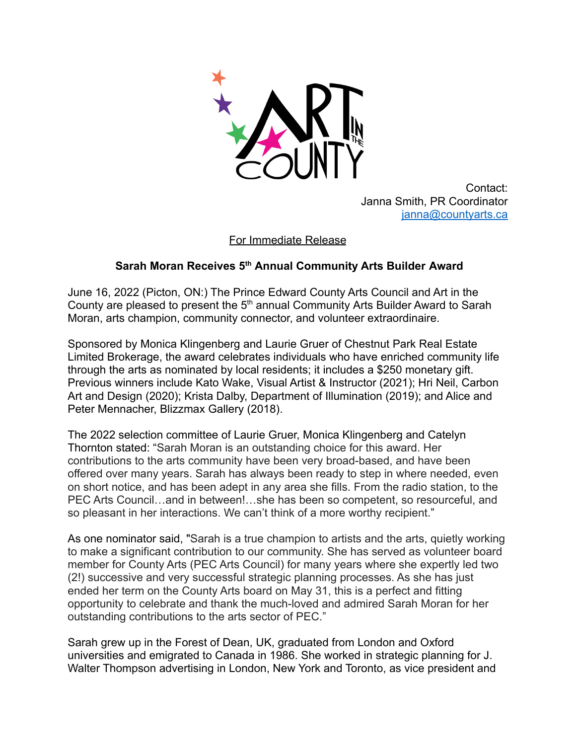

Contact: Janna Smith, PR Coordinator [janna@countyarts.ca](mailto:janna@countyarts.ca)

For Immediate Release

## **Sarah Moran Receives 5th Annual Community Arts Builder Award**

June 16, 2022 (Picton, ON:) The Prince Edward County Arts Council and Art in the County are pleased to present the 5<sup>th</sup> annual Community Arts Builder Award to Sarah Moran, arts champion, community connector, and volunteer extraordinaire.

Sponsored by Monica Klingenberg and Laurie Gruer of Chestnut Park Real Estate Limited Brokerage, the award celebrates individuals who have enriched community life through the arts as nominated by local residents; it includes a \$250 monetary gift. Previous winners include Kato Wake, Visual Artist & Instructor (2021); Hri Neil, Carbon Art and Design (2020); Krista Dalby, Department of Illumination (2019); and Alice and Peter Mennacher, Blizzmax Gallery (2018).

The 2022 selection committee of Laurie Gruer, Monica Klingenberg and Catelyn Thornton stated: "Sarah Moran is an outstanding choice for this award. Her contributions to the arts community have been very broad-based, and have been offered over many years. Sarah has always been ready to step in where needed, even on short notice, and has been adept in any area she fills. From the radio station, to the PEC Arts Council…and in between!…she has been so competent, so resourceful, and so pleasant in her interactions. We can't think of a more worthy recipient."

As one nominator said, "Sarah is a true champion to artists and the arts, quietly working to make a significant contribution to our community. She has served as volunteer board member for County Arts (PEC Arts Council) for many years where she expertly led two (2!) successive and very successful strategic planning processes. As she has just ended her term on the County Arts board on May 31, this is a perfect and fitting opportunity to celebrate and thank the much-loved and admired Sarah Moran for her outstanding contributions to the arts sector of PEC."

Sarah grew up in the Forest of Dean, UK, graduated from London and Oxford universities and emigrated to Canada in 1986. She worked in strategic planning for J. Walter Thompson advertising in London, New York and Toronto, as vice president and